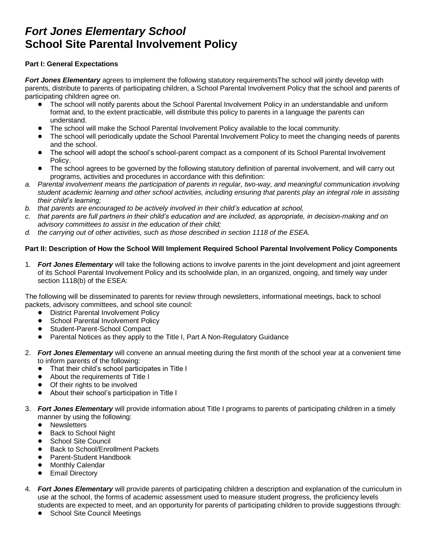## *Fort Jones Elementary School* **School Site Parental Involvement Policy**

## **Part I: General Expectations**

*Fort Jones Elementary* agrees to implement the following statutory requirementsThe school will jointly develop with parents, distribute to parents of participating children, a School Parental Involvement Policy that the school and parents of participating children agree on.

- ! The school will notify parents about the School Parental Involvement Policy in an understandable and uniform format and, to the extent practicable, will distribute this policy to parents in a language the parents can understand.
- ! The school will make the School Parental Involvement Policy available to the local community.
- The school will periodically update the School Parental Involvement Policy to meet the changing needs of parents and the school.
- The school will adopt the school's school-parent compact as a component of its School Parental Involvement Policy.
- ! The school agrees to be governed by the following statutory definition of parental involvement, and will carry out programs, activities and procedures in accordance with this definition:
- *a. Parental involvement means the participation of parents in regular, two-way, and meaningful communication involving student academic learning and other school activities, including ensuring that parents play an integral role in assisting their child's learning;*
- *b. that parents are encouraged to be actively involved in their child's education at school,*
- *c. that parents are full partners in their child's education and are included, as appropriate, in decision-making and on advisory committees to assist in the education of their child;*
- *d. the carrying out of other activities, such as those described in section 1118 of the ESEA.*

## **Part II: Description of How the School Will Implement Required School Parental Involvement Policy Components**

1. *Fort Jones Elementary* will take the following actions to involve parents in the joint development and joint agreement of its School Parental Involvement Policy and its schoolwide plan, in an organized, ongoing, and timely way under section 1118(b) of the ESEA:

The following will be disseminated to parents for review through newsletters, informational meetings, back to school packets, advisory committees, and school site council:

- **District Parental Involvement Policy**
- School Parental Involvement Policy
- **•** Student-Parent-School Compact
- Parental Notices as they apply to the Title I, Part A Non-Regulatory Guidance
- 2. *Fort Jones Elementary* will convene an annual meeting during the first month of the school year at a convenient time to inform parents of the following:
	- That their child's school participates in Title I
	- About the requirements of Title I
	- Of their rights to be involved
	- About their school's participation in Title I
- 3. *Fort Jones Elementary* will provide information about Title I programs to parents of participating children in a timely manner by using the following:
	- Newsletters
	- **Back to School Night**
	- **•** School Site Council
	- **Back to School/Enrollment Packets**
	- Parent-Student Handbook
	- Monthly Calendar
	- Email Directory
- 4. *Fort Jones Elementary* will provide parents of participating children a description and explanation of the curriculum in use at the school, the forms of academic assessment used to measure student progress, the proficiency levels students are expected to meet, and an opportunity for parents of participating children to provide suggestions through:
	- School Site Council Meetings